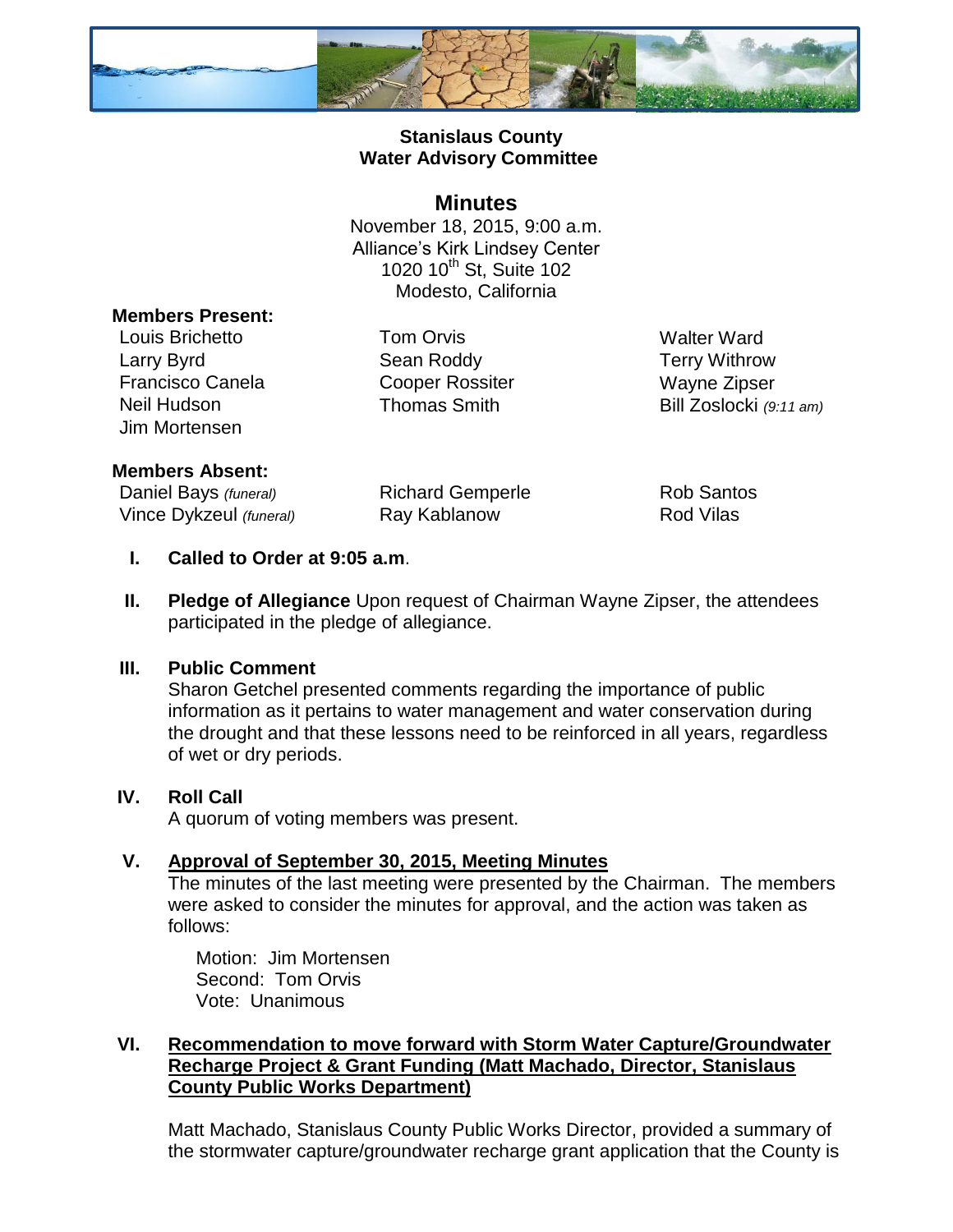

# **Stanislaus County Water Advisory Committee**

## **Minutes**

November 18, 2015, 9:00 a.m. Alliance's Kirk Lindsey Center 1020 10<sup>th</sup> St, Suite 102 Modesto, California

### **Members Present:**

Louis Brichetto Tom Orvis Walter Ward Larry Byrd **Sean Roddy Carry Withrow** Francisco Canela Cooper Rossiter Wayne Zipser Jim Mortensen

Neil Hudson Thomas Smith Bill Zoslocki *(9:11 am)*

#### **Members Absent:**

Daniel Bays (funeral) **Richard Gemperle** Rob Santos Vince Dykzeul *(funeral)* Ray Kablanow Rod Vilas

#### **I. Called to Order at 9:05 a.m**.

**II. Pledge of Allegiance** Upon request of Chairman Wayne Zipser, the attendees participated in the pledge of allegiance.

#### **III. Public Comment**

Sharon Getchel presented comments regarding the importance of public information as it pertains to water management and water conservation during the drought and that these lessons need to be reinforced in all years, regardless of wet or dry periods.

### **IV. Roll Call**

A quorum of voting members was present.

### **V. Approval of September 30, 2015, Meeting Minutes**

The minutes of the last meeting were presented by the Chairman. The members were asked to consider the minutes for approval, and the action was taken as follows:

Motion: Jim Mortensen Second: Tom Orvis Vote: Unanimous

## **VI. Recommendation to move forward with Storm Water Capture/Groundwater Recharge Project & Grant Funding (Matt Machado, Director, Stanislaus County Public Works Department)**

Matt Machado, Stanislaus County Public Works Director, provided a summary of the stormwater capture/groundwater recharge grant application that the County is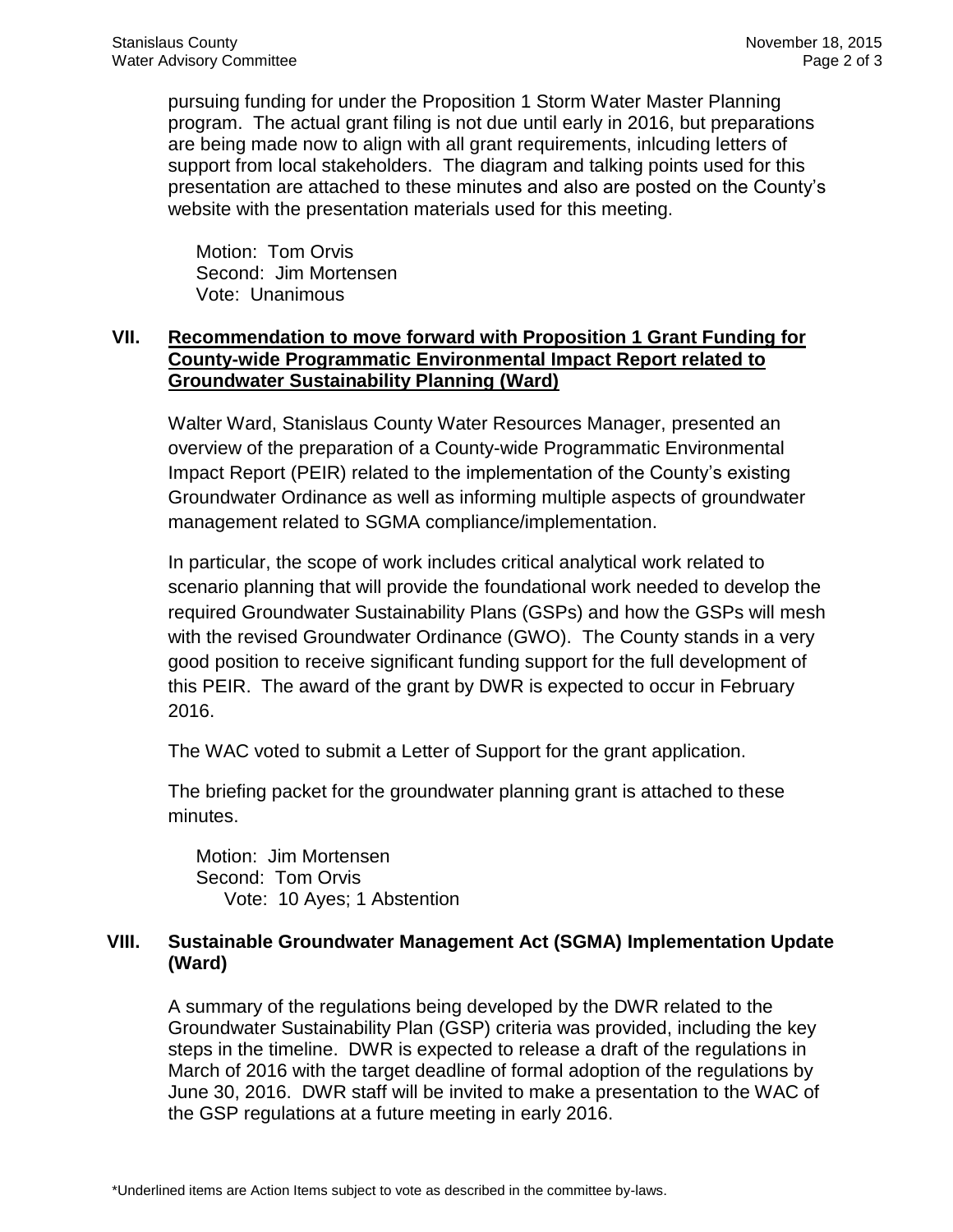pursuing funding for under the Proposition 1 Storm Water Master Planning program. The actual grant filing is not due until early in 2016, but preparations are being made now to align with all grant requirements, inlcuding letters of support from local stakeholders. The diagram and talking points used for this presentation are attached to these minutes and also are posted on the County's website with the presentation materials used for this meeting.

Motion: Tom Orvis Second: Jim Mortensen Vote: Unanimous

## **VII. Recommendation to move forward with Proposition 1 Grant Funding for County-wide Programmatic Environmental Impact Report related to Groundwater Sustainability Planning (Ward)**

Walter Ward, Stanislaus County Water Resources Manager, presented an overview of the preparation of a County-wide Programmatic Environmental Impact Report (PEIR) related to the implementation of the County's existing Groundwater Ordinance as well as informing multiple aspects of groundwater management related to SGMA compliance/implementation.

In particular, the scope of work includes critical analytical work related to scenario planning that will provide the foundational work needed to develop the required Groundwater Sustainability Plans (GSPs) and how the GSPs will mesh with the revised Groundwater Ordinance (GWO). The County stands in a very good position to receive significant funding support for the full development of this PEIR. The award of the grant by DWR is expected to occur in February 2016.

The WAC voted to submit a Letter of Support for the grant application.

The briefing packet for the groundwater planning grant is attached to these minutes.

Motion: Jim Mortensen Second: Tom Orvis Vote: 10 Ayes; 1 Abstention

# **VIII. Sustainable Groundwater Management Act (SGMA) Implementation Update (Ward)**

A summary of the regulations being developed by the DWR related to the Groundwater Sustainability Plan (GSP) criteria was provided, including the key steps in the timeline. DWR is expected to release a draft of the regulations in March of 2016 with the target deadline of formal adoption of the regulations by June 30, 2016. DWR staff will be invited to make a presentation to the WAC of the GSP regulations at a future meeting in early 2016.